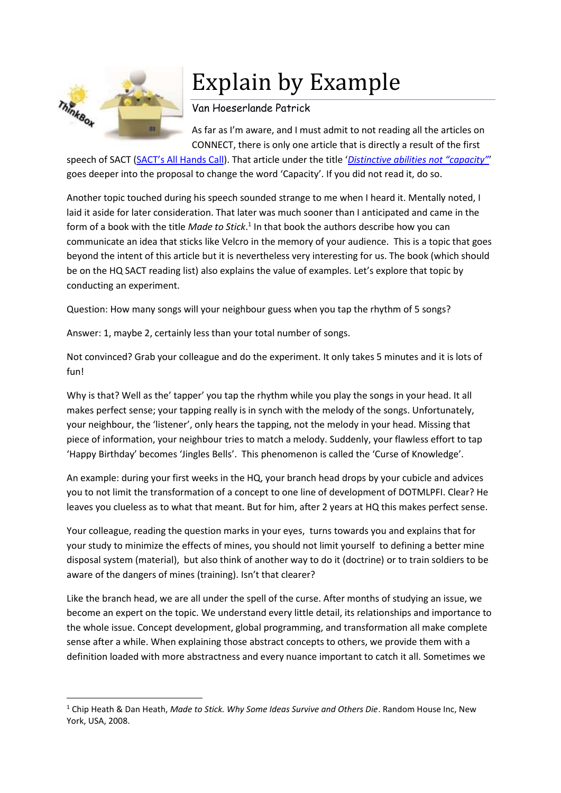

1

## Explain by Example

## Van Hoeserlande Patrick

As far as I'm aware, and I must admit to not reading all the articles on CONNECT, there is only one article that is directly a result of the first

speech of SACT ([SACT's All Hands Call](https://blog.act.nato.int/wordpress/2015/10/sacts-all-hands-ceremony/)). That article under the title '*[Distinctive abilities not "capacity"](https://blog.act.nato.int/wordpress/2015/11/distinctive-abilities-not-capacity-a-reply-to-sacts-invitation/)*' goes deeper into the proposal to change the word 'Capacity'. If you did not read it, do so.

Another topic touched during his speech sounded strange to me when I heard it. Mentally noted, I laid it aside for later consideration. That later was much sooner than I anticipated and came in the form of a book with the title *Made to Stick*.<sup>1</sup> In that book the authors describe how you can communicate an idea that sticks like Velcro in the memory of your audience. This is a topic that goes beyond the intent of this article but it is nevertheless very interesting for us. The book (which should be on the HQ SACT reading list) also explains the value of examples. Let's explore that topic by conducting an experiment.

Question: How many songs will your neighbour guess when you tap the rhythm of 5 songs?

Answer: 1, maybe 2, certainly less than your total number of songs.

Not convinced? Grab your colleague and do the experiment. It only takes 5 minutes and it is lots of fun!

Why is that? Well as the' tapper' you tap the rhythm while you play the songs in your head. It all makes perfect sense; your tapping really is in synch with the melody of the songs. Unfortunately, your neighbour, the 'listener', only hears the tapping, not the melody in your head. Missing that piece of information, your neighbour tries to match a melody. Suddenly, your flawless effort to tap 'Happy Birthday' becomes 'Jingles Bells'. This phenomenon is called the 'Curse of Knowledge'.

An example: during your first weeks in the HQ, your branch head drops by your cubicle and advices you to not limit the transformation of a concept to one line of development of DOTMLPFI. Clear? He leaves you clueless as to what that meant. But for him, after 2 years at HQ this makes perfect sense.

Your colleague, reading the question marks in your eyes, turns towards you and explains that for your study to minimize the effects of mines, you should not limit yourself to defining a better mine disposal system (material), but also think of another way to do it (doctrine) or to train soldiers to be aware of the dangers of mines (training). Isn't that clearer?

Like the branch head, we are all under the spell of the curse. After months of studying an issue, we become an expert on the topic. We understand every little detail, its relationships and importance to the whole issue. Concept development, global programming, and transformation all make complete sense after a while. When explaining those abstract concepts to others, we provide them with a definition loaded with more abstractness and every nuance important to catch it all. Sometimes we

<sup>1</sup> Chip Heath & Dan Heath, *Made to Stick. Why Some Ideas Survive and Others Die*. Random House Inc, New York, USA, 2008.